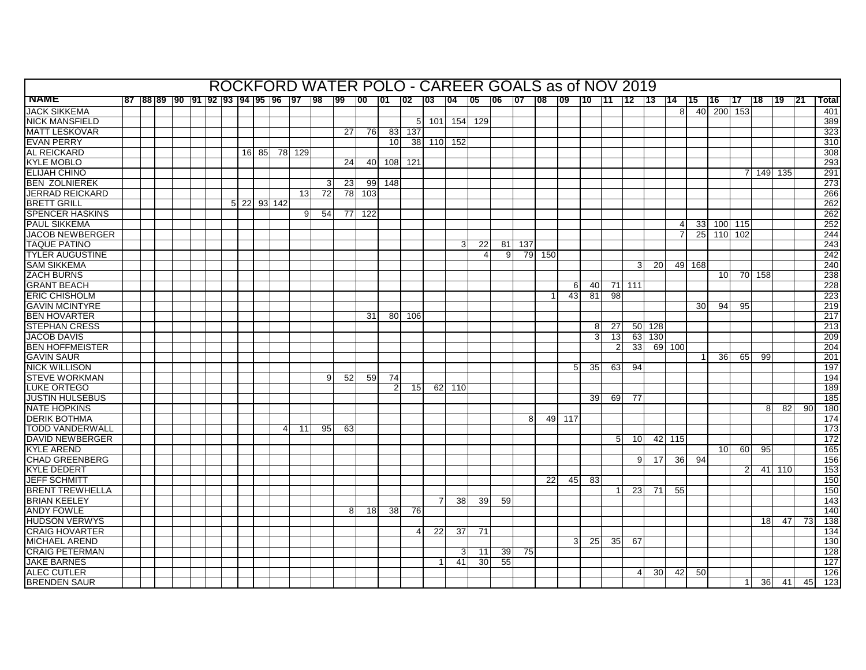| $ 01 $ $ 02 $<br> 87  88  89  90  91  92  93  94  95  96  97  98<br>$\overline{99}$<br>$\overline{100}$<br>$\overline{103}$<br>$\overline{104}$<br>$\overline{105}$<br>$\overline{06}$<br>$ 07 $ 08<br>109<br>110<br>111<br>$112$ 113<br>$\overline{114}$<br>l 19<br><b>Total</b><br>l15<br>116.<br>117<br>118<br>l 21<br>40<br>200 153<br>401<br>8<br>389<br>5 <sup>1</sup><br>101<br>154 129<br>137<br>323<br>27<br>76I<br>83<br>38 110 152<br>10 <sup>1</sup><br>310<br>308<br>16 85 78 129<br>293<br>24<br>40<br>108<br>121<br>291<br>7 149 135<br>273<br>23<br>99<br>148<br>3<br>$\overline{72}$<br>$\overline{78}$<br>103<br>266<br>13<br>5 22 93 142<br>262<br>262<br>54<br>122<br>9<br>77<br>252<br>$\overline{4}$<br>33 100 115<br>25 110 102<br>244<br>243<br>$\mathbf{3}$<br>22<br>81 137<br>242<br>9<br>79 150<br>4<br>240<br><b>20</b><br>49 168<br>3<br>70 158<br>238<br>10 <sup>1</sup><br>$71$   111<br>228<br>40<br>6<br>223<br>43<br>81<br>$\overline{98}$<br>219<br>95<br>30 <sup>1</sup><br>94<br>$\overline{217}$<br>80<br>106<br>31<br><b>STEPHAN CRESS</b><br>$\overline{213}$<br>27<br>50 128<br>8<br>3<br>13<br>209<br>63 130<br><b>BEN HOFFMEISTER</b><br>33<br>$\overline{2}$<br>69 100<br>204<br>201<br>36 <sup>1</sup><br>65<br>99<br>197<br>5 <sup>1</sup><br>35<br>63<br>94<br>194<br>9 <sup>1</sup><br>52<br>59<br>74<br>15<br>62 110<br>189<br>185<br>39<br>69 l<br>77<br>180<br>8 <sup>1</sup><br>82<br>90 <sup>1</sup><br>174<br>8 <sup>1</sup><br>49 117<br>173<br>11<br>95<br>63<br>172<br>5 <sub>l</sub><br>10 <sup>1</sup><br>42 115<br>165<br>10 <sup>1</sup><br>60<br>95<br>156<br>9 <sup>1</sup><br>17<br>36<br>94<br>$\mathcal{P}$<br>41 110<br>153<br>150<br>22<br>45<br>83<br>150<br>23<br>71<br>55<br>143<br>38<br>39<br>59<br>7<br>140<br>18<br>38<br>76<br>$\overline{138}$<br>18<br>47<br>73<br>22<br>37<br>71<br>134<br>4<br>130<br>3 <sup>1</sup><br>25<br>35<br>67<br><b>CRAIG PETERMAN</b><br>3<br>39 <sub>l</sub><br>75<br>128<br>11<br>$\overline{127}$<br>41<br>30<br>55<br>50<br>126<br>$\overline{4}$<br><b>30</b><br>42<br>123<br>36<br>41<br>45<br>$\mathbf 1$ |                        |  |  |  |  |  |  |  |  |  | ROCKFORD WATER POLO - CAREER GOALS as of NOV 2019 |  |  |  |  |  |  |  |  |
|----------------------------------------------------------------------------------------------------------------------------------------------------------------------------------------------------------------------------------------------------------------------------------------------------------------------------------------------------------------------------------------------------------------------------------------------------------------------------------------------------------------------------------------------------------------------------------------------------------------------------------------------------------------------------------------------------------------------------------------------------------------------------------------------------------------------------------------------------------------------------------------------------------------------------------------------------------------------------------------------------------------------------------------------------------------------------------------------------------------------------------------------------------------------------------------------------------------------------------------------------------------------------------------------------------------------------------------------------------------------------------------------------------------------------------------------------------------------------------------------------------------------------------------------------------------------------------------------------------------------------------------------------------------------------------------------------------------------------------------------------------------------------------------------------------------------------------------------------------------------------------------------------------------------------------------------------------------------------------------------------------------------------------------------------------------------------------------------------------------------------|------------------------|--|--|--|--|--|--|--|--|--|---------------------------------------------------|--|--|--|--|--|--|--|--|
|                                                                                                                                                                                                                                                                                                                                                                                                                                                                                                                                                                                                                                                                                                                                                                                                                                                                                                                                                                                                                                                                                                                                                                                                                                                                                                                                                                                                                                                                                                                                                                                                                                                                                                                                                                                                                                                                                                                                                                                                                                                                                                                            | <b>NAME</b>            |  |  |  |  |  |  |  |  |  |                                                   |  |  |  |  |  |  |  |  |
|                                                                                                                                                                                                                                                                                                                                                                                                                                                                                                                                                                                                                                                                                                                                                                                                                                                                                                                                                                                                                                                                                                                                                                                                                                                                                                                                                                                                                                                                                                                                                                                                                                                                                                                                                                                                                                                                                                                                                                                                                                                                                                                            | <b>JACK SIKKEMA</b>    |  |  |  |  |  |  |  |  |  |                                                   |  |  |  |  |  |  |  |  |
|                                                                                                                                                                                                                                                                                                                                                                                                                                                                                                                                                                                                                                                                                                                                                                                                                                                                                                                                                                                                                                                                                                                                                                                                                                                                                                                                                                                                                                                                                                                                                                                                                                                                                                                                                                                                                                                                                                                                                                                                                                                                                                                            | <b>NICK MANSFIELD</b>  |  |  |  |  |  |  |  |  |  |                                                   |  |  |  |  |  |  |  |  |
|                                                                                                                                                                                                                                                                                                                                                                                                                                                                                                                                                                                                                                                                                                                                                                                                                                                                                                                                                                                                                                                                                                                                                                                                                                                                                                                                                                                                                                                                                                                                                                                                                                                                                                                                                                                                                                                                                                                                                                                                                                                                                                                            | <b>MATT LESKOVAR</b>   |  |  |  |  |  |  |  |  |  |                                                   |  |  |  |  |  |  |  |  |
|                                                                                                                                                                                                                                                                                                                                                                                                                                                                                                                                                                                                                                                                                                                                                                                                                                                                                                                                                                                                                                                                                                                                                                                                                                                                                                                                                                                                                                                                                                                                                                                                                                                                                                                                                                                                                                                                                                                                                                                                                                                                                                                            | <b>EVAN PERRY</b>      |  |  |  |  |  |  |  |  |  |                                                   |  |  |  |  |  |  |  |  |
|                                                                                                                                                                                                                                                                                                                                                                                                                                                                                                                                                                                                                                                                                                                                                                                                                                                                                                                                                                                                                                                                                                                                                                                                                                                                                                                                                                                                                                                                                                                                                                                                                                                                                                                                                                                                                                                                                                                                                                                                                                                                                                                            | <b>AL REICKARD</b>     |  |  |  |  |  |  |  |  |  |                                                   |  |  |  |  |  |  |  |  |
|                                                                                                                                                                                                                                                                                                                                                                                                                                                                                                                                                                                                                                                                                                                                                                                                                                                                                                                                                                                                                                                                                                                                                                                                                                                                                                                                                                                                                                                                                                                                                                                                                                                                                                                                                                                                                                                                                                                                                                                                                                                                                                                            | <b>KYLE MOBLO</b>      |  |  |  |  |  |  |  |  |  |                                                   |  |  |  |  |  |  |  |  |
|                                                                                                                                                                                                                                                                                                                                                                                                                                                                                                                                                                                                                                                                                                                                                                                                                                                                                                                                                                                                                                                                                                                                                                                                                                                                                                                                                                                                                                                                                                                                                                                                                                                                                                                                                                                                                                                                                                                                                                                                                                                                                                                            | <b>ELIJAH CHINO</b>    |  |  |  |  |  |  |  |  |  |                                                   |  |  |  |  |  |  |  |  |
|                                                                                                                                                                                                                                                                                                                                                                                                                                                                                                                                                                                                                                                                                                                                                                                                                                                                                                                                                                                                                                                                                                                                                                                                                                                                                                                                                                                                                                                                                                                                                                                                                                                                                                                                                                                                                                                                                                                                                                                                                                                                                                                            | <b>BEN ZOLNIEREK</b>   |  |  |  |  |  |  |  |  |  |                                                   |  |  |  |  |  |  |  |  |
|                                                                                                                                                                                                                                                                                                                                                                                                                                                                                                                                                                                                                                                                                                                                                                                                                                                                                                                                                                                                                                                                                                                                                                                                                                                                                                                                                                                                                                                                                                                                                                                                                                                                                                                                                                                                                                                                                                                                                                                                                                                                                                                            | <b>JERRAD REICKARD</b> |  |  |  |  |  |  |  |  |  |                                                   |  |  |  |  |  |  |  |  |
|                                                                                                                                                                                                                                                                                                                                                                                                                                                                                                                                                                                                                                                                                                                                                                                                                                                                                                                                                                                                                                                                                                                                                                                                                                                                                                                                                                                                                                                                                                                                                                                                                                                                                                                                                                                                                                                                                                                                                                                                                                                                                                                            | <b>BRETT GRILL</b>     |  |  |  |  |  |  |  |  |  |                                                   |  |  |  |  |  |  |  |  |
|                                                                                                                                                                                                                                                                                                                                                                                                                                                                                                                                                                                                                                                                                                                                                                                                                                                                                                                                                                                                                                                                                                                                                                                                                                                                                                                                                                                                                                                                                                                                                                                                                                                                                                                                                                                                                                                                                                                                                                                                                                                                                                                            | <b>SPENCER HASKINS</b> |  |  |  |  |  |  |  |  |  |                                                   |  |  |  |  |  |  |  |  |
|                                                                                                                                                                                                                                                                                                                                                                                                                                                                                                                                                                                                                                                                                                                                                                                                                                                                                                                                                                                                                                                                                                                                                                                                                                                                                                                                                                                                                                                                                                                                                                                                                                                                                                                                                                                                                                                                                                                                                                                                                                                                                                                            | <b>PAUL SIKKEMA</b>    |  |  |  |  |  |  |  |  |  |                                                   |  |  |  |  |  |  |  |  |
|                                                                                                                                                                                                                                                                                                                                                                                                                                                                                                                                                                                                                                                                                                                                                                                                                                                                                                                                                                                                                                                                                                                                                                                                                                                                                                                                                                                                                                                                                                                                                                                                                                                                                                                                                                                                                                                                                                                                                                                                                                                                                                                            | <b>JACOB NEWBERGER</b> |  |  |  |  |  |  |  |  |  |                                                   |  |  |  |  |  |  |  |  |
|                                                                                                                                                                                                                                                                                                                                                                                                                                                                                                                                                                                                                                                                                                                                                                                                                                                                                                                                                                                                                                                                                                                                                                                                                                                                                                                                                                                                                                                                                                                                                                                                                                                                                                                                                                                                                                                                                                                                                                                                                                                                                                                            | <b>TAQUE PATINO</b>    |  |  |  |  |  |  |  |  |  |                                                   |  |  |  |  |  |  |  |  |
|                                                                                                                                                                                                                                                                                                                                                                                                                                                                                                                                                                                                                                                                                                                                                                                                                                                                                                                                                                                                                                                                                                                                                                                                                                                                                                                                                                                                                                                                                                                                                                                                                                                                                                                                                                                                                                                                                                                                                                                                                                                                                                                            | <b>TYLER AUGUSTINE</b> |  |  |  |  |  |  |  |  |  |                                                   |  |  |  |  |  |  |  |  |
|                                                                                                                                                                                                                                                                                                                                                                                                                                                                                                                                                                                                                                                                                                                                                                                                                                                                                                                                                                                                                                                                                                                                                                                                                                                                                                                                                                                                                                                                                                                                                                                                                                                                                                                                                                                                                                                                                                                                                                                                                                                                                                                            | <b>SAM SIKKEMA</b>     |  |  |  |  |  |  |  |  |  |                                                   |  |  |  |  |  |  |  |  |
|                                                                                                                                                                                                                                                                                                                                                                                                                                                                                                                                                                                                                                                                                                                                                                                                                                                                                                                                                                                                                                                                                                                                                                                                                                                                                                                                                                                                                                                                                                                                                                                                                                                                                                                                                                                                                                                                                                                                                                                                                                                                                                                            | <b>ZACH BURNS</b>      |  |  |  |  |  |  |  |  |  |                                                   |  |  |  |  |  |  |  |  |
|                                                                                                                                                                                                                                                                                                                                                                                                                                                                                                                                                                                                                                                                                                                                                                                                                                                                                                                                                                                                                                                                                                                                                                                                                                                                                                                                                                                                                                                                                                                                                                                                                                                                                                                                                                                                                                                                                                                                                                                                                                                                                                                            | <b>GRANT BEACH</b>     |  |  |  |  |  |  |  |  |  |                                                   |  |  |  |  |  |  |  |  |
|                                                                                                                                                                                                                                                                                                                                                                                                                                                                                                                                                                                                                                                                                                                                                                                                                                                                                                                                                                                                                                                                                                                                                                                                                                                                                                                                                                                                                                                                                                                                                                                                                                                                                                                                                                                                                                                                                                                                                                                                                                                                                                                            | <b>ERIC CHISHOLM</b>   |  |  |  |  |  |  |  |  |  |                                                   |  |  |  |  |  |  |  |  |
|                                                                                                                                                                                                                                                                                                                                                                                                                                                                                                                                                                                                                                                                                                                                                                                                                                                                                                                                                                                                                                                                                                                                                                                                                                                                                                                                                                                                                                                                                                                                                                                                                                                                                                                                                                                                                                                                                                                                                                                                                                                                                                                            | <b>GAVIN MCINTYRE</b>  |  |  |  |  |  |  |  |  |  |                                                   |  |  |  |  |  |  |  |  |
|                                                                                                                                                                                                                                                                                                                                                                                                                                                                                                                                                                                                                                                                                                                                                                                                                                                                                                                                                                                                                                                                                                                                                                                                                                                                                                                                                                                                                                                                                                                                                                                                                                                                                                                                                                                                                                                                                                                                                                                                                                                                                                                            | <b>BEN HOVARTER</b>    |  |  |  |  |  |  |  |  |  |                                                   |  |  |  |  |  |  |  |  |
|                                                                                                                                                                                                                                                                                                                                                                                                                                                                                                                                                                                                                                                                                                                                                                                                                                                                                                                                                                                                                                                                                                                                                                                                                                                                                                                                                                                                                                                                                                                                                                                                                                                                                                                                                                                                                                                                                                                                                                                                                                                                                                                            |                        |  |  |  |  |  |  |  |  |  |                                                   |  |  |  |  |  |  |  |  |
|                                                                                                                                                                                                                                                                                                                                                                                                                                                                                                                                                                                                                                                                                                                                                                                                                                                                                                                                                                                                                                                                                                                                                                                                                                                                                                                                                                                                                                                                                                                                                                                                                                                                                                                                                                                                                                                                                                                                                                                                                                                                                                                            | <b>JACOB DAVIS</b>     |  |  |  |  |  |  |  |  |  |                                                   |  |  |  |  |  |  |  |  |
|                                                                                                                                                                                                                                                                                                                                                                                                                                                                                                                                                                                                                                                                                                                                                                                                                                                                                                                                                                                                                                                                                                                                                                                                                                                                                                                                                                                                                                                                                                                                                                                                                                                                                                                                                                                                                                                                                                                                                                                                                                                                                                                            |                        |  |  |  |  |  |  |  |  |  |                                                   |  |  |  |  |  |  |  |  |
|                                                                                                                                                                                                                                                                                                                                                                                                                                                                                                                                                                                                                                                                                                                                                                                                                                                                                                                                                                                                                                                                                                                                                                                                                                                                                                                                                                                                                                                                                                                                                                                                                                                                                                                                                                                                                                                                                                                                                                                                                                                                                                                            | <b>GAVIN SAUR</b>      |  |  |  |  |  |  |  |  |  |                                                   |  |  |  |  |  |  |  |  |
|                                                                                                                                                                                                                                                                                                                                                                                                                                                                                                                                                                                                                                                                                                                                                                                                                                                                                                                                                                                                                                                                                                                                                                                                                                                                                                                                                                                                                                                                                                                                                                                                                                                                                                                                                                                                                                                                                                                                                                                                                                                                                                                            | <b>NICK WILLISON</b>   |  |  |  |  |  |  |  |  |  |                                                   |  |  |  |  |  |  |  |  |
|                                                                                                                                                                                                                                                                                                                                                                                                                                                                                                                                                                                                                                                                                                                                                                                                                                                                                                                                                                                                                                                                                                                                                                                                                                                                                                                                                                                                                                                                                                                                                                                                                                                                                                                                                                                                                                                                                                                                                                                                                                                                                                                            | <b>STEVE WORKMAN</b>   |  |  |  |  |  |  |  |  |  |                                                   |  |  |  |  |  |  |  |  |
|                                                                                                                                                                                                                                                                                                                                                                                                                                                                                                                                                                                                                                                                                                                                                                                                                                                                                                                                                                                                                                                                                                                                                                                                                                                                                                                                                                                                                                                                                                                                                                                                                                                                                                                                                                                                                                                                                                                                                                                                                                                                                                                            | <b>LUKE ORTEGO</b>     |  |  |  |  |  |  |  |  |  |                                                   |  |  |  |  |  |  |  |  |
|                                                                                                                                                                                                                                                                                                                                                                                                                                                                                                                                                                                                                                                                                                                                                                                                                                                                                                                                                                                                                                                                                                                                                                                                                                                                                                                                                                                                                                                                                                                                                                                                                                                                                                                                                                                                                                                                                                                                                                                                                                                                                                                            | <b>JUSTIN HULSEBUS</b> |  |  |  |  |  |  |  |  |  |                                                   |  |  |  |  |  |  |  |  |
|                                                                                                                                                                                                                                                                                                                                                                                                                                                                                                                                                                                                                                                                                                                                                                                                                                                                                                                                                                                                                                                                                                                                                                                                                                                                                                                                                                                                                                                                                                                                                                                                                                                                                                                                                                                                                                                                                                                                                                                                                                                                                                                            | <b>NATE HOPKINS</b>    |  |  |  |  |  |  |  |  |  |                                                   |  |  |  |  |  |  |  |  |
|                                                                                                                                                                                                                                                                                                                                                                                                                                                                                                                                                                                                                                                                                                                                                                                                                                                                                                                                                                                                                                                                                                                                                                                                                                                                                                                                                                                                                                                                                                                                                                                                                                                                                                                                                                                                                                                                                                                                                                                                                                                                                                                            | <b>DERIK BOTHMA</b>    |  |  |  |  |  |  |  |  |  |                                                   |  |  |  |  |  |  |  |  |
|                                                                                                                                                                                                                                                                                                                                                                                                                                                                                                                                                                                                                                                                                                                                                                                                                                                                                                                                                                                                                                                                                                                                                                                                                                                                                                                                                                                                                                                                                                                                                                                                                                                                                                                                                                                                                                                                                                                                                                                                                                                                                                                            | <b>TODD VANDERWALL</b> |  |  |  |  |  |  |  |  |  |                                                   |  |  |  |  |  |  |  |  |
|                                                                                                                                                                                                                                                                                                                                                                                                                                                                                                                                                                                                                                                                                                                                                                                                                                                                                                                                                                                                                                                                                                                                                                                                                                                                                                                                                                                                                                                                                                                                                                                                                                                                                                                                                                                                                                                                                                                                                                                                                                                                                                                            | <b>DAVID NEWBERGER</b> |  |  |  |  |  |  |  |  |  |                                                   |  |  |  |  |  |  |  |  |
|                                                                                                                                                                                                                                                                                                                                                                                                                                                                                                                                                                                                                                                                                                                                                                                                                                                                                                                                                                                                                                                                                                                                                                                                                                                                                                                                                                                                                                                                                                                                                                                                                                                                                                                                                                                                                                                                                                                                                                                                                                                                                                                            | <b>KYLE AREND</b>      |  |  |  |  |  |  |  |  |  |                                                   |  |  |  |  |  |  |  |  |
|                                                                                                                                                                                                                                                                                                                                                                                                                                                                                                                                                                                                                                                                                                                                                                                                                                                                                                                                                                                                                                                                                                                                                                                                                                                                                                                                                                                                                                                                                                                                                                                                                                                                                                                                                                                                                                                                                                                                                                                                                                                                                                                            | <b>CHAD GREENBERG</b>  |  |  |  |  |  |  |  |  |  |                                                   |  |  |  |  |  |  |  |  |
|                                                                                                                                                                                                                                                                                                                                                                                                                                                                                                                                                                                                                                                                                                                                                                                                                                                                                                                                                                                                                                                                                                                                                                                                                                                                                                                                                                                                                                                                                                                                                                                                                                                                                                                                                                                                                                                                                                                                                                                                                                                                                                                            | <b>KYLE DEDERT</b>     |  |  |  |  |  |  |  |  |  |                                                   |  |  |  |  |  |  |  |  |
|                                                                                                                                                                                                                                                                                                                                                                                                                                                                                                                                                                                                                                                                                                                                                                                                                                                                                                                                                                                                                                                                                                                                                                                                                                                                                                                                                                                                                                                                                                                                                                                                                                                                                                                                                                                                                                                                                                                                                                                                                                                                                                                            | <b>JEFF SCHMITT</b>    |  |  |  |  |  |  |  |  |  |                                                   |  |  |  |  |  |  |  |  |
|                                                                                                                                                                                                                                                                                                                                                                                                                                                                                                                                                                                                                                                                                                                                                                                                                                                                                                                                                                                                                                                                                                                                                                                                                                                                                                                                                                                                                                                                                                                                                                                                                                                                                                                                                                                                                                                                                                                                                                                                                                                                                                                            | <b>BRENT TREWHELLA</b> |  |  |  |  |  |  |  |  |  |                                                   |  |  |  |  |  |  |  |  |
|                                                                                                                                                                                                                                                                                                                                                                                                                                                                                                                                                                                                                                                                                                                                                                                                                                                                                                                                                                                                                                                                                                                                                                                                                                                                                                                                                                                                                                                                                                                                                                                                                                                                                                                                                                                                                                                                                                                                                                                                                                                                                                                            | <b>BRIAN KEELEY</b>    |  |  |  |  |  |  |  |  |  |                                                   |  |  |  |  |  |  |  |  |
|                                                                                                                                                                                                                                                                                                                                                                                                                                                                                                                                                                                                                                                                                                                                                                                                                                                                                                                                                                                                                                                                                                                                                                                                                                                                                                                                                                                                                                                                                                                                                                                                                                                                                                                                                                                                                                                                                                                                                                                                                                                                                                                            | <b>ANDY FOWLE</b>      |  |  |  |  |  |  |  |  |  |                                                   |  |  |  |  |  |  |  |  |
|                                                                                                                                                                                                                                                                                                                                                                                                                                                                                                                                                                                                                                                                                                                                                                                                                                                                                                                                                                                                                                                                                                                                                                                                                                                                                                                                                                                                                                                                                                                                                                                                                                                                                                                                                                                                                                                                                                                                                                                                                                                                                                                            | <b>HUDSON VERWYS</b>   |  |  |  |  |  |  |  |  |  |                                                   |  |  |  |  |  |  |  |  |
|                                                                                                                                                                                                                                                                                                                                                                                                                                                                                                                                                                                                                                                                                                                                                                                                                                                                                                                                                                                                                                                                                                                                                                                                                                                                                                                                                                                                                                                                                                                                                                                                                                                                                                                                                                                                                                                                                                                                                                                                                                                                                                                            | <b>CRAIG HOVARTER</b>  |  |  |  |  |  |  |  |  |  |                                                   |  |  |  |  |  |  |  |  |
|                                                                                                                                                                                                                                                                                                                                                                                                                                                                                                                                                                                                                                                                                                                                                                                                                                                                                                                                                                                                                                                                                                                                                                                                                                                                                                                                                                                                                                                                                                                                                                                                                                                                                                                                                                                                                                                                                                                                                                                                                                                                                                                            | <b>MICHAEL AREND</b>   |  |  |  |  |  |  |  |  |  |                                                   |  |  |  |  |  |  |  |  |
|                                                                                                                                                                                                                                                                                                                                                                                                                                                                                                                                                                                                                                                                                                                                                                                                                                                                                                                                                                                                                                                                                                                                                                                                                                                                                                                                                                                                                                                                                                                                                                                                                                                                                                                                                                                                                                                                                                                                                                                                                                                                                                                            |                        |  |  |  |  |  |  |  |  |  |                                                   |  |  |  |  |  |  |  |  |
|                                                                                                                                                                                                                                                                                                                                                                                                                                                                                                                                                                                                                                                                                                                                                                                                                                                                                                                                                                                                                                                                                                                                                                                                                                                                                                                                                                                                                                                                                                                                                                                                                                                                                                                                                                                                                                                                                                                                                                                                                                                                                                                            | <b>JAKE BARNES</b>     |  |  |  |  |  |  |  |  |  |                                                   |  |  |  |  |  |  |  |  |
|                                                                                                                                                                                                                                                                                                                                                                                                                                                                                                                                                                                                                                                                                                                                                                                                                                                                                                                                                                                                                                                                                                                                                                                                                                                                                                                                                                                                                                                                                                                                                                                                                                                                                                                                                                                                                                                                                                                                                                                                                                                                                                                            | <b>ALEC CUTLER</b>     |  |  |  |  |  |  |  |  |  |                                                   |  |  |  |  |  |  |  |  |
|                                                                                                                                                                                                                                                                                                                                                                                                                                                                                                                                                                                                                                                                                                                                                                                                                                                                                                                                                                                                                                                                                                                                                                                                                                                                                                                                                                                                                                                                                                                                                                                                                                                                                                                                                                                                                                                                                                                                                                                                                                                                                                                            | <b>BRENDEN SAUR</b>    |  |  |  |  |  |  |  |  |  |                                                   |  |  |  |  |  |  |  |  |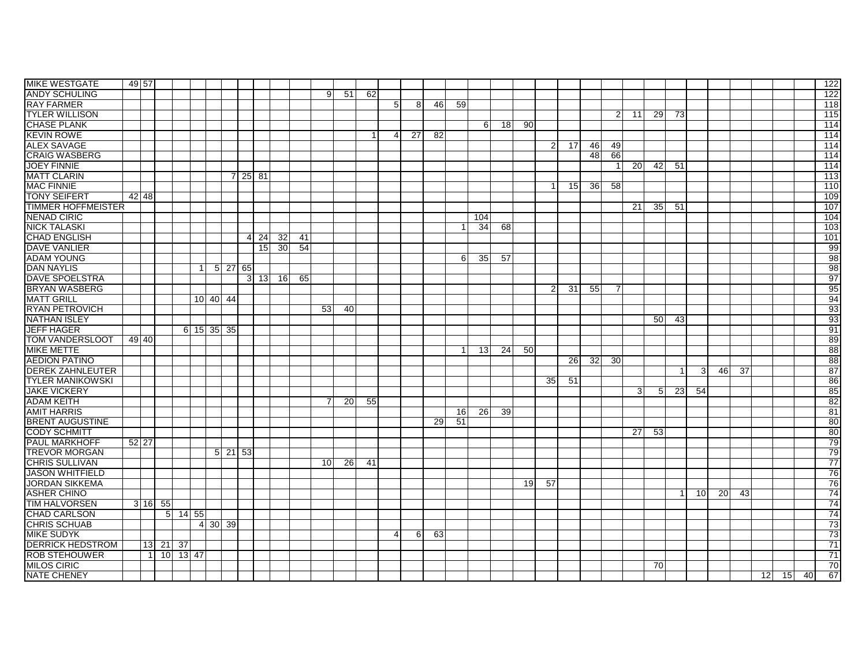| <b>MIKE WESTGATE</b>      | 49 57 |                |          |               |             |                                   |    |                     |      |           |    |    |                 |    |    |                |          |    |    |                 |      |    |                |                 |    |              |                |              |    |                 |           |                 |                 |    |    | 122              |
|---------------------------|-------|----------------|----------|---------------|-------------|-----------------------------------|----|---------------------|------|-----------|----|----|-----------------|----|----|----------------|----------|----|----|-----------------|------|----|----------------|-----------------|----|--------------|----------------|--------------|----|-----------------|-----------|-----------------|-----------------|----|----|------------------|
| <b>ANDY SCHULING</b>      |       |                |          |               |             |                                   |    |                     |      |           |    |    | 9               | 51 | 62 |                |          |    |    |                 |      |    |                |                 |    |              |                |              |    |                 |           |                 |                 |    |    | 122              |
| <b>RAY FARMER</b>         |       |                |          |               |             |                                   |    |                     |      |           |    |    |                 |    |    | 5              | 8        | 46 | 59 |                 |      |    |                |                 |    |              |                |              |    |                 |           |                 |                 |    |    | 118              |
| <b>TYLER WILLISON</b>     |       |                |          |               |             |                                   |    |                     |      |           |    |    |                 |    |    |                |          |    |    |                 |      |    |                |                 |    | 2            | 11             | 29           | 73 |                 |           |                 |                 |    |    | 115              |
| <b>CHASE PLANK</b>        |       |                |          |               |             |                                   |    |                     |      |           |    |    |                 |    |    |                |          |    |    | 61              | 18 I | 90 |                |                 |    |              |                |              |    |                 |           |                 |                 |    |    | 114              |
| <b>KEVIN ROWE</b>         |       |                |          |               |             |                                   |    |                     |      |           |    |    |                 |    |    | 4              | 27       | 82 |    |                 |      |    |                |                 |    |              |                |              |    |                 |           |                 |                 |    |    | 114              |
| <b>ALEX SAVAGE</b>        |       |                |          |               |             |                                   |    |                     |      |           |    |    |                 |    |    |                |          |    |    |                 |      |    | $\overline{2}$ | 17              | 46 | 49           |                |              |    |                 |           |                 |                 |    |    | 114              |
| <b>CRAIG WASBERG</b>      |       |                |          |               |             |                                   |    |                     |      |           |    |    |                 |    |    |                |          |    |    |                 |      |    |                |                 | 48 | 66           |                |              |    |                 |           |                 |                 |    |    | 114              |
| <b>JOEY FINNIE</b>        |       |                |          |               |             |                                   |    |                     |      |           |    |    |                 |    |    |                |          |    |    |                 |      |    |                |                 |    | $\mathbf{1}$ | <b>20</b>      | 42           | 51 |                 |           |                 |                 |    |    | 114              |
| <b>MATT CLARIN</b>        |       |                |          |               |             |                                   |    | $7$ 25 81           |      |           |    |    |                 |    |    |                |          |    |    |                 |      |    |                |                 |    |              |                |              |    |                 |           |                 |                 |    |    | 113              |
| <b>MAC FINNIE</b>         |       |                |          |               |             |                                   |    |                     |      |           |    |    |                 |    |    |                |          |    |    |                 |      |    | -1             | 15 <sub>l</sub> | 36 | 58           |                |              |    |                 |           |                 |                 |    |    | $\overline{110}$ |
| <b>TONY SEIFERT</b>       |       | 42 48          |          |               |             |                                   |    |                     |      |           |    |    |                 |    |    |                |          |    |    |                 |      |    |                |                 |    |              |                |              |    |                 |           |                 |                 |    |    | 109              |
| <b>TIMMER HOFFMEISTER</b> |       |                |          |               |             |                                   |    |                     |      |           |    |    |                 |    |    |                |          |    |    |                 |      |    |                |                 |    |              | 21             | -35 <b>S</b> | 51 |                 |           |                 |                 |    |    | 107              |
| NENAD CIRIC               |       |                |          |               |             |                                   |    |                     |      |           |    |    |                 |    |    |                |          |    |    | 104             |      |    |                |                 |    |              |                |              |    |                 |           |                 |                 |    |    | 104              |
| <b>NICK TALASKI</b>       |       |                |          |               |             |                                   |    |                     |      |           |    |    |                 |    |    |                |          |    |    | $\overline{34}$ | 68   |    |                |                 |    |              |                |              |    |                 |           |                 |                 |    |    | 103              |
| <b>CHAD ENGLISH</b>       |       |                |          |               |             |                                   |    |                     | 4 24 | 32        | 41 |    |                 |    |    |                |          |    |    |                 |      |    |                |                 |    |              |                |              |    |                 |           |                 |                 |    |    | 101              |
| <b>DAVE VANLIER</b>       |       |                |          |               |             |                                   |    |                     | 15   | <b>30</b> | 54 |    |                 |    |    |                |          |    |    |                 |      |    |                |                 |    |              |                |              |    |                 |           |                 |                 |    |    | 99               |
| ADAM YOUNG                |       |                |          |               |             |                                   |    |                     |      |           |    |    |                 |    |    |                |          |    | 6  | 35              | 57   |    |                |                 |    |              |                |              |    |                 |           |                 |                 |    |    | 98               |
| <b>DAN NAYLIS</b>         |       |                |          |               | $\mathbf 1$ |                                   |    | $5 \mid 27 \mid 65$ |      |           |    |    |                 |    |    |                |          |    |    |                 |      |    |                |                 |    |              |                |              |    |                 |           |                 |                 |    |    | 98               |
| <b>DAVE SPOELSTRA</b>     |       |                |          |               |             |                                   |    |                     |      | 3 13 16   | 65 |    |                 |    |    |                |          |    |    |                 |      |    |                |                 |    |              |                |              |    |                 |           |                 |                 |    |    | 97               |
| <b>BRYAN WASBERG</b>      |       |                |          |               |             |                                   |    |                     |      |           |    |    |                 |    |    |                |          |    |    |                 |      |    | $\overline{2}$ | -31             | 55 | 7            |                |              |    |                 |           |                 |                 |    |    | 95               |
| <b>MATT GRILL</b>         |       |                |          |               |             | 10 40 44                          |    |                     |      |           |    |    |                 |    |    |                |          |    |    |                 |      |    |                |                 |    |              |                |              |    |                 |           |                 |                 |    |    | 94               |
| <b>RYAN PETROVICH</b>     |       |                |          |               |             |                                   |    |                     |      |           |    | 53 |                 | 40 |    |                |          |    |    |                 |      |    |                |                 |    |              |                |              |    |                 |           |                 |                 |    |    | 93               |
| <b>NATHAN ISLEY</b>       |       |                |          |               |             |                                   |    |                     |      |           |    |    |                 |    |    |                |          |    |    |                 |      |    |                |                 |    |              |                | 50           | 43 |                 |           |                 |                 |    |    | 93               |
| <b>JEFF HAGER</b>         |       |                |          |               | 6 15        | 35 <sub>l</sub>                   | 35 |                     |      |           |    |    |                 |    |    |                |          |    |    |                 |      |    |                |                 |    |              |                |              |    |                 |           |                 |                 |    |    | 91               |
| <b>TOM VANDERSLOOT</b>    |       | 49 40          |          |               |             |                                   |    |                     |      |           |    |    |                 |    |    |                |          |    |    |                 |      |    |                |                 |    |              |                |              |    |                 |           |                 |                 |    |    | 89               |
| <b>MIKE METTE</b>         |       |                |          |               |             |                                   |    |                     |      |           |    |    |                 |    |    |                |          |    |    | 13 <sup>l</sup> | 24   | 50 |                |                 |    |              |                |              |    |                 |           |                 |                 |    |    | 88               |
| <b>AEDION PATINO</b>      |       |                |          |               |             |                                   |    |                     |      |           |    |    |                 |    |    |                |          |    |    |                 |      |    |                | <b>26</b>       | 32 | 30           |                |              |    |                 |           |                 |                 |    |    | 88               |
| <b>DEREK ZAHNLEUTER</b>   |       |                |          |               |             |                                   |    |                     |      |           |    |    |                 |    |    |                |          |    |    |                 |      |    |                |                 |    |              |                |              |    | 3               | 46        | $\overline{37}$ |                 |    |    | 87               |
| <b>TYLER MANIKOWSKI</b>   |       |                |          |               |             |                                   |    |                     |      |           |    |    |                 |    |    |                |          |    |    |                 |      |    | 35             | 51              |    |              |                |              |    |                 |           |                 |                 |    |    | 86               |
| <b>JAKE VICKERY</b>       |       |                |          |               |             |                                   |    |                     |      |           |    |    |                 |    |    |                |          |    |    |                 |      |    |                |                 |    |              | 3 <sup>1</sup> | 51           | 23 | 54              |           |                 |                 |    |    | 85               |
| <b>ADAM KEITH</b>         |       |                |          |               |             |                                   |    |                     |      |           |    |    | $\overline{7}$  | 20 | 55 |                |          |    |    |                 |      |    |                |                 |    |              |                |              |    |                 |           |                 |                 |    |    | 82               |
| <b>AMIT HARRIS</b>        |       |                |          |               |             |                                   |    |                     |      |           |    |    |                 |    |    |                |          |    | 16 | 26              | 39   |    |                |                 |    |              |                |              |    |                 |           |                 |                 |    |    | 81               |
| <b>BRENT AUGUSTINE</b>    |       |                |          |               |             |                                   |    |                     |      |           |    |    |                 |    |    |                |          | 29 | 51 |                 |      |    |                |                 |    |              |                |              |    |                 |           |                 |                 |    |    | 80               |
| <b>CODY SCHMITT</b>       |       |                |          |               |             |                                   |    |                     |      |           |    |    |                 |    |    |                |          |    |    |                 |      |    |                |                 |    |              | 27             | 53           |    |                 |           |                 |                 |    |    | 80               |
| <b>PAUL MARKHOFF</b>      | 52 27 |                |          |               |             |                                   |    |                     |      |           |    |    |                 |    |    |                |          |    |    |                 |      |    |                |                 |    |              |                |              |    |                 |           |                 |                 |    |    | 79               |
| <b>TREVOR MORGAN</b>      |       |                |          |               |             |                                   |    | $5 \mid 21 \mid 53$ |      |           |    |    |                 |    |    |                |          |    |    |                 |      |    |                |                 |    |              |                |              |    |                 |           |                 |                 |    |    | 79               |
| <b>CHRIS SULLIVAN</b>     |       |                |          |               |             |                                   |    |                     |      |           |    |    | 10 <sup>1</sup> | 26 | 41 |                |          |    |    |                 |      |    |                |                 |    |              |                |              |    |                 |           |                 |                 |    |    | 77               |
| <b>JASON WHITFIELD</b>    |       |                |          |               |             |                                   |    |                     |      |           |    |    |                 |    |    |                |          |    |    |                 |      |    |                |                 |    |              |                |              |    |                 |           |                 |                 |    |    | 76               |
| <b>JORDAN SIKKEMA</b>     |       |                |          |               |             |                                   |    |                     |      |           |    |    |                 |    |    |                |          |    |    |                 |      | 19 | 57             |                 |    |              |                |              |    |                 |           |                 |                 |    |    | 76               |
| <b>ASHER CHINO</b>        |       |                |          |               |             |                                   |    |                     |      |           |    |    |                 |    |    |                |          |    |    |                 |      |    |                |                 |    |              |                |              | -1 | 10 <sup>1</sup> | <b>20</b> | 43              |                 |    |    | 74               |
| <b>TIM HALVORSEN</b>      |       | 3 16           | 55       |               |             |                                   |    |                     |      |           |    |    |                 |    |    |                |          |    |    |                 |      |    |                |                 |    |              |                |              |    |                 |           |                 |                 |    |    | 74               |
| <b>CHAD CARLSON</b>       |       |                |          | $5$   14 55   |             |                                   |    |                     |      |           |    |    |                 |    |    |                |          |    |    |                 |      |    |                |                 |    |              |                |              |    |                 |           |                 |                 |    |    | 74               |
| <b>CHRIS SCHUAB</b>       |       |                |          |               |             | $4 \overline{)30} \overline{)39}$ |    |                     |      |           |    |    |                 |    |    |                |          |    |    |                 |      |    |                |                 |    |              |                |              |    |                 |           |                 |                 |    |    | 73               |
| <b>MIKE SUDYK</b>         |       |                |          |               |             |                                   |    |                     |      |           |    |    |                 |    |    | $\overline{4}$ | $6 \mid$ | 63 |    |                 |      |    |                |                 |    |              |                |              |    |                 |           |                 |                 |    |    | 73               |
| <b>DERRICK HEDSTROM</b>   |       |                | 13 21 37 |               |             |                                   |    |                     |      |           |    |    |                 |    |    |                |          |    |    |                 |      |    |                |                 |    |              |                |              |    |                 |           |                 |                 |    |    | 71               |
| <b>ROB STEHOUWER</b>      |       | $\overline{1}$ |          | $10$   13  47 |             |                                   |    |                     |      |           |    |    |                 |    |    |                |          |    |    |                 |      |    |                |                 |    |              |                |              |    |                 |           |                 |                 |    |    | 71               |
| <b>MILOS CIRIC</b>        |       |                |          |               |             |                                   |    |                     |      |           |    |    |                 |    |    |                |          |    |    |                 |      |    |                |                 |    |              |                | 70           |    |                 |           |                 |                 |    |    | 70               |
| <b>NATE CHENEY</b>        |       |                |          |               |             |                                   |    |                     |      |           |    |    |                 |    |    |                |          |    |    |                 |      |    |                |                 |    |              |                |              |    |                 |           |                 | $\overline{12}$ | 15 | 40 | 67               |
|                           |       |                |          |               |             |                                   |    |                     |      |           |    |    |                 |    |    |                |          |    |    |                 |      |    |                |                 |    |              |                |              |    |                 |           |                 |                 |    |    |                  |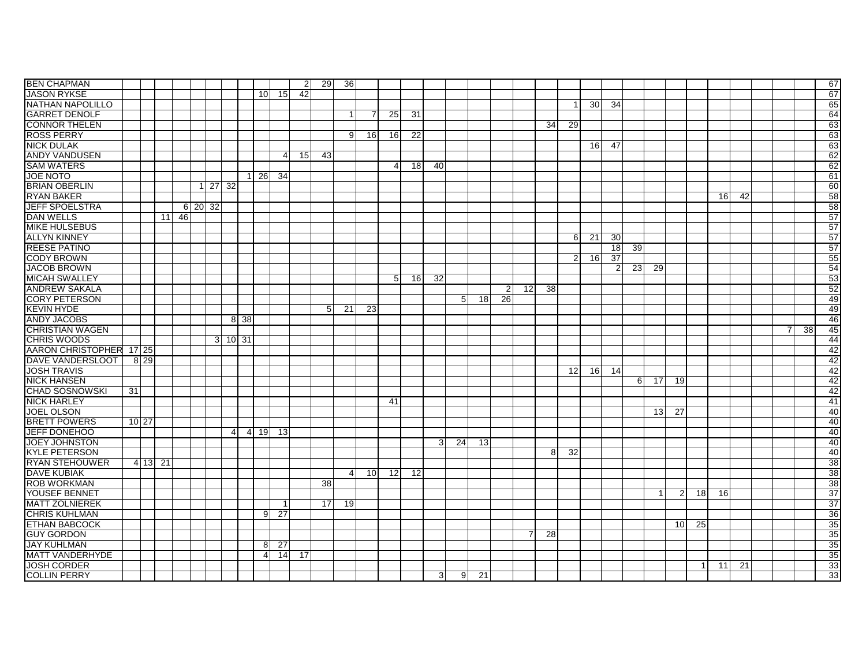| <b>BEN CHAPMAN</b>      |    |                  |    |    |         |                      |                |                |                 |                 | -21 | 29              | 36              |                 |                 |    |    |                                |                                   |                |                |                 |                |                 |                 |          |             |                 |                |                 |    |   |                 | 67 |
|-------------------------|----|------------------|----|----|---------|----------------------|----------------|----------------|-----------------|-----------------|-----|-----------------|-----------------|-----------------|-----------------|----|----|--------------------------------|-----------------------------------|----------------|----------------|-----------------|----------------|-----------------|-----------------|----------|-------------|-----------------|----------------|-----------------|----|---|-----------------|----|
| <b>JASON RYKSE</b>      |    |                  |    |    |         |                      |                |                | 10 <sup>1</sup> | 15              | 42  |                 |                 |                 |                 |    |    |                                |                                   |                |                |                 |                |                 |                 |          |             |                 |                |                 |    |   |                 | 67 |
| <b>NATHAN NAPOLILLO</b> |    |                  |    |    |         |                      |                |                |                 |                 |     |                 |                 |                 |                 |    |    |                                |                                   |                |                |                 |                | 30 <sup>1</sup> | 34              |          |             |                 |                |                 |    |   |                 | 65 |
| <b>GARRET DENOLF</b>    |    |                  |    |    |         |                      |                |                |                 |                 |     |                 |                 |                 | 25              | 31 |    |                                |                                   |                |                |                 |                |                 |                 |          |             |                 |                |                 |    |   |                 | 64 |
| <b>CONNOR THELEN</b>    |    |                  |    |    |         |                      |                |                |                 |                 |     |                 |                 |                 |                 |    |    |                                |                                   |                |                | 34              | 29             |                 |                 |          |             |                 |                |                 |    |   |                 | 63 |
| <b>ROSS PERRY</b>       |    |                  |    |    |         |                      |                |                |                 |                 |     |                 | 9               | <b>16</b>       | 16              | 22 |    |                                |                                   |                |                |                 |                |                 |                 |          |             |                 |                |                 |    |   |                 | 63 |
| <b>NICK DULAK</b>       |    |                  |    |    |         |                      |                |                |                 |                 |     |                 |                 |                 |                 |    |    |                                |                                   |                |                |                 |                | 16              | 47              |          |             |                 |                |                 |    |   |                 | 63 |
| <b>ANDY VANDUSEN</b>    |    |                  |    |    |         |                      |                |                |                 | Δ               | 15  | 43              |                 |                 |                 |    |    |                                |                                   |                |                |                 |                |                 |                 |          |             |                 |                |                 |    |   |                 | 62 |
| <b>SAM WATERS</b>       |    |                  |    |    |         |                      |                |                |                 |                 |     |                 |                 |                 | 4               | 18 | 40 |                                |                                   |                |                |                 |                |                 |                 |          |             |                 |                |                 |    |   |                 | 62 |
| <b>JOE NOTO</b>         |    |                  |    |    |         |                      |                | $\mathbf{1}$   | $\overline{26}$ | -34             |     |                 |                 |                 |                 |    |    |                                |                                   |                |                |                 |                |                 |                 |          |             |                 |                |                 |    |   |                 | 61 |
| <b>BRIAN OBERLIN</b>    |    |                  |    |    |         | $1 \overline{27}$ 32 |                |                |                 |                 |     |                 |                 |                 |                 |    |    |                                |                                   |                |                |                 |                |                 |                 |          |             |                 |                |                 |    |   |                 | 60 |
| <b>RYAN BAKER</b>       |    |                  |    |    |         |                      |                |                |                 |                 |     |                 |                 |                 |                 |    |    |                                |                                   |                |                |                 |                |                 |                 |          |             |                 |                | 16 <sup>1</sup> | 42 |   |                 | 58 |
| <b>JEFF SPOELSTRA</b>   |    |                  |    |    | 6 20 32 |                      |                |                |                 |                 |     |                 |                 |                 |                 |    |    |                                |                                   |                |                |                 |                |                 |                 |          |             |                 |                |                 |    |   |                 | 58 |
| <b>DAN WELLS</b>        |    |                  | 11 | 46 |         |                      |                |                |                 |                 |     |                 |                 |                 |                 |    |    |                                |                                   |                |                |                 |                |                 |                 |          |             |                 |                |                 |    |   |                 | 57 |
| <b>MIKE HULSEBUS</b>    |    |                  |    |    |         |                      |                |                |                 |                 |     |                 |                 |                 |                 |    |    |                                |                                   |                |                |                 |                |                 |                 |          |             |                 |                |                 |    |   |                 | 57 |
| <b>ALLYN KINNEY</b>     |    |                  |    |    |         |                      |                |                |                 |                 |     |                 |                 |                 |                 |    |    |                                |                                   |                |                |                 | $6 \mid$       | $\overline{21}$ | 30              |          |             |                 |                |                 |    |   |                 | 57 |
| <b>REESE PATINO</b>     |    |                  |    |    |         |                      |                |                |                 |                 |     |                 |                 |                 |                 |    |    |                                |                                   |                |                |                 |                |                 | 18              | 39       |             |                 |                |                 |    |   |                 | 57 |
| <b>CODY BROWN</b>       |    |                  |    |    |         |                      |                |                |                 |                 |     |                 |                 |                 |                 |    |    |                                |                                   |                |                |                 | $\overline{2}$ | 16              | $\overline{37}$ |          |             |                 |                |                 |    |   |                 | 55 |
| <b>JACOB BROWN</b>      |    |                  |    |    |         |                      |                |                |                 |                 |     |                 |                 |                 |                 |    |    |                                |                                   |                |                |                 |                |                 | $\overline{2}$  | 23       | 29          |                 |                |                 |    |   |                 | 54 |
| <b>MICAH SWALLEY</b>    |    |                  |    |    |         |                      |                |                |                 |                 |     |                 |                 |                 | 5 <sup>1</sup>  | 16 | 32 |                                |                                   |                |                |                 |                |                 |                 |          |             |                 |                |                 |    |   |                 | 53 |
| <b>ANDREW SAKALA</b>    |    |                  |    |    |         |                      |                |                |                 |                 |     |                 |                 |                 |                 |    |    |                                |                                   | 2 <sub>l</sub> | 12             | $\overline{38}$ |                |                 |                 |          |             |                 |                |                 |    |   |                 | 52 |
| <b>CORY PETERSON</b>    |    |                  |    |    |         |                      |                |                |                 |                 |     |                 |                 |                 |                 |    |    |                                | 5 <sup>1</sup><br>18 <sup>l</sup> | 26             |                |                 |                |                 |                 |          |             |                 |                |                 |    |   |                 | 49 |
| <b>KEVIN HYDE</b>       |    |                  |    |    |         |                      |                |                |                 |                 |     | 5 <sub>l</sub>  | $\overline{21}$ | 23              |                 |    |    |                                |                                   |                |                |                 |                |                 |                 |          |             |                 |                |                 |    |   |                 | 49 |
| <b>ANDY JACOBS</b>      |    |                  |    |    |         |                      |                | 8 38           |                 |                 |     |                 |                 |                 |                 |    |    |                                |                                   |                |                |                 |                |                 |                 |          |             |                 |                |                 |    |   |                 | 46 |
| <b>CHRISTIAN WAGEN</b>  |    |                  |    |    |         |                      |                |                |                 |                 |     |                 |                 |                 |                 |    |    |                                |                                   |                |                |                 |                |                 |                 |          |             |                 |                |                 |    | 7 | $\overline{38}$ | 45 |
| <b>CHRIS WOODS</b>      |    |                  |    |    |         |                      | $3$ 10 31      |                |                 |                 |     |                 |                 |                 |                 |    |    |                                |                                   |                |                |                 |                |                 |                 |          |             |                 |                |                 |    |   |                 | 44 |
| AARON CHRISTOPHER 17 25 |    |                  |    |    |         |                      |                |                |                 |                 |     |                 |                 |                 |                 |    |    |                                |                                   |                |                |                 |                |                 |                 |          |             |                 |                |                 |    |   |                 | 42 |
| <b>DAVE VANDERSLOOT</b> |    | $8\overline{29}$ |    |    |         |                      |                |                |                 |                 |     |                 |                 |                 |                 |    |    |                                |                                   |                |                |                 |                |                 |                 |          |             |                 |                |                 |    |   |                 | 42 |
| <b>JOSH TRAVIS</b>      |    |                  |    |    |         |                      |                |                |                 |                 |     |                 |                 |                 |                 |    |    |                                |                                   |                |                |                 | 12             | 16              | 14              |          |             |                 |                |                 |    |   |                 | 42 |
| <b>NICK HANSEN</b>      |    |                  |    |    |         |                      |                |                |                 |                 |     |                 |                 |                 |                 |    |    |                                |                                   |                |                |                 |                |                 |                 | $6 \mid$ | 17          | 19              |                |                 |    |   |                 | 42 |
| <b>CHAD SOSNOWSKI</b>   | 31 |                  |    |    |         |                      |                |                |                 |                 |     |                 |                 |                 |                 |    |    |                                |                                   |                |                |                 |                |                 |                 |          |             |                 |                |                 |    |   |                 | 42 |
| <b>NICK HARLEY</b>      |    |                  |    |    |         |                      |                |                |                 |                 |     |                 |                 |                 | 41              |    |    |                                |                                   |                |                |                 |                |                 |                 |          |             |                 |                |                 |    |   |                 | 41 |
| <b>JOEL OLSON</b>       |    |                  |    |    |         |                      |                |                |                 |                 |     |                 |                 |                 |                 |    |    |                                |                                   |                |                |                 |                |                 |                 |          | 13          | 27              |                |                 |    |   |                 | 40 |
| <b>BRETT POWERS</b>     |    | 10 27            |    |    |         |                      |                |                |                 |                 |     |                 |                 |                 |                 |    |    |                                |                                   |                |                |                 |                |                 |                 |          |             |                 |                |                 |    |   |                 | 40 |
| <b>JEFF DONEHOO</b>     |    |                  |    |    |         |                      | $\overline{4}$ | $\overline{4}$ | 19 <sup>l</sup> | 13              |     |                 |                 |                 |                 |    |    |                                |                                   |                |                |                 |                |                 |                 |          |             |                 |                |                 |    |   |                 | 40 |
| <b>JOEY JOHNSTON</b>    |    |                  |    |    |         |                      |                |                |                 |                 |     |                 |                 |                 |                 |    |    | $\overline{24}$<br>$3^{\circ}$ | 13                                |                |                |                 |                |                 |                 |          |             |                 |                |                 |    |   |                 | 40 |
| <b>KYLE PETERSON</b>    |    |                  |    |    |         |                      |                |                |                 |                 |     |                 |                 |                 |                 |    |    |                                |                                   |                |                | 8               | 32             |                 |                 |          |             |                 |                |                 |    |   |                 | 40 |
| <b>RYAN STEHOUWER</b>   |    | 4 13 21          |    |    |         |                      |                |                |                 |                 |     |                 |                 |                 |                 |    |    |                                |                                   |                |                |                 |                |                 |                 |          |             |                 |                |                 |    |   |                 | 38 |
| <b>DAVE KUBIAK</b>      |    |                  |    |    |         |                      |                |                |                 |                 |     |                 | $\overline{4}$  | 10 <sup>1</sup> | 12 <sup>1</sup> | 12 |    |                                |                                   |                |                |                 |                |                 |                 |          |             |                 |                |                 |    |   |                 | 38 |
| <b>ROB WORKMAN</b>      |    |                  |    |    |         |                      |                |                |                 |                 |     | 38 <sup>1</sup> |                 |                 |                 |    |    |                                |                                   |                |                |                 |                |                 |                 |          |             |                 |                |                 |    |   |                 | 38 |
| <b>YOUSEF BENNET</b>    |    |                  |    |    |         |                      |                |                |                 |                 |     |                 |                 |                 |                 |    |    |                                |                                   |                |                |                 |                |                 |                 |          | $\mathbf 1$ | $\overline{2}$  | 18             | <b>16</b>       |    |   |                 | 37 |
| <b>MATT ZOLNIEREK</b>   |    |                  |    |    |         |                      |                |                |                 |                 |     | 17              | 19              |                 |                 |    |    |                                |                                   |                |                |                 |                |                 |                 |          |             |                 |                |                 |    |   |                 | 37 |
| <b>CHRIS KUHLMAN</b>    |    |                  |    |    |         |                      |                |                | 9               | 27              |     |                 |                 |                 |                 |    |    |                                |                                   |                |                |                 |                |                 |                 |          |             |                 |                |                 |    |   |                 | 36 |
| <b>ETHAN BABCOCK</b>    |    |                  |    |    |         |                      |                |                |                 |                 |     |                 |                 |                 |                 |    |    |                                |                                   |                |                |                 |                |                 |                 |          |             | 10 <sup>1</sup> | 25             |                 |    |   |                 | 35 |
| <b>GUY GORDON</b>       |    |                  |    |    |         |                      |                |                |                 |                 |     |                 |                 |                 |                 |    |    |                                |                                   |                | $\overline{7}$ | 28              |                |                 |                 |          |             |                 |                |                 |    |   |                 | 35 |
| <b>JAY KUHLMAN</b>      |    |                  |    |    |         |                      |                |                | 8               | $\overline{27}$ |     |                 |                 |                 |                 |    |    |                                |                                   |                |                |                 |                |                 |                 |          |             |                 |                |                 |    |   |                 | 35 |
| <b>MATT VANDERHYDE</b>  |    |                  |    |    |         |                      |                |                | $\overline{4}$  | $\overline{14}$ | 17  |                 |                 |                 |                 |    |    |                                |                                   |                |                |                 |                |                 |                 |          |             |                 |                |                 |    |   |                 | 35 |
| <b>JOSH CORDER</b>      |    |                  |    |    |         |                      |                |                |                 |                 |     |                 |                 |                 |                 |    |    |                                |                                   |                |                |                 |                |                 |                 |          |             |                 | $\overline{1}$ | 11              | 21 |   |                 | 33 |
| <b>COLLIN PERRY</b>     |    |                  |    |    |         |                      |                |                |                 |                 |     |                 |                 |                 |                 |    |    | 3                              | 9<br>$\overline{21}$              |                |                |                 |                |                 |                 |          |             |                 |                |                 |    |   |                 | 33 |
|                         |    |                  |    |    |         |                      |                |                |                 |                 |     |                 |                 |                 |                 |    |    |                                |                                   |                |                |                 |                |                 |                 |          |             |                 |                |                 |    |   |                 |    |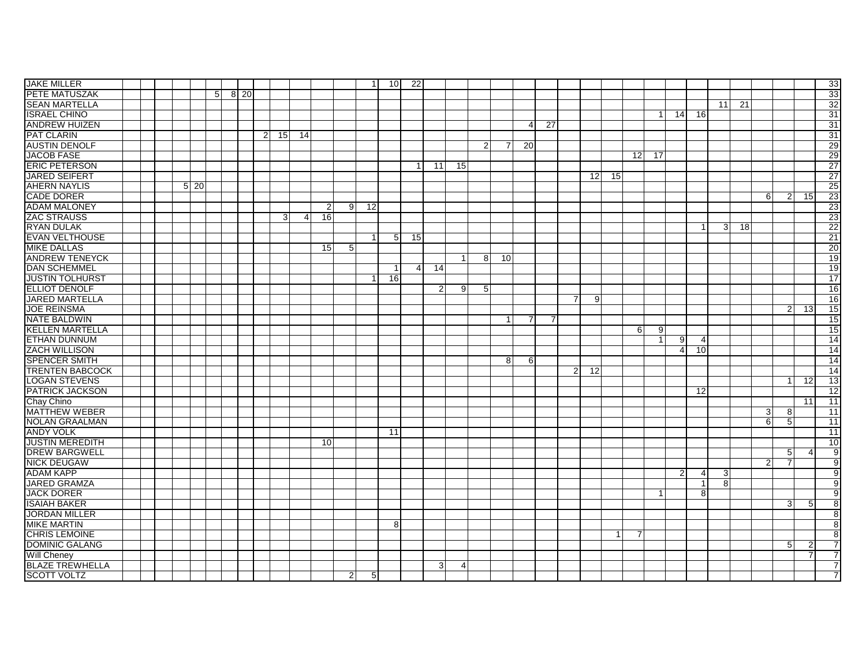| <b>JAKE MILLER</b>     |      |                |      |          |                 |          |                 |                | $\overline{1}$  | 10 <sup>1</sup> | 22             |              |                |                |    |    |    |                |                |    |          |           |                |                |                |    |                |                |                | 33              |
|------------------------|------|----------------|------|----------|-----------------|----------|-----------------|----------------|-----------------|-----------------|----------------|--------------|----------------|----------------|----|----|----|----------------|----------------|----|----------|-----------|----------------|----------------|----------------|----|----------------|----------------|----------------|-----------------|
| PETE MATUSZAK          |      | 5 <sup>1</sup> | 8 20 |          |                 |          |                 |                |                 |                 |                |              |                |                |    |    |    |                |                |    |          |           |                |                |                |    |                |                |                | 33              |
| <b>SEAN MARTELLA</b>   |      |                |      |          |                 |          |                 |                |                 |                 |                |              |                |                |    |    |    |                |                |    |          |           |                |                | 11             | 21 |                |                |                | 32              |
| <b>ISRAEL CHINO</b>    |      |                |      |          |                 |          |                 |                |                 |                 |                |              |                |                |    |    |    |                |                |    |          | $\vert$ 1 | 14             | 16             |                |    |                |                |                | 31              |
| <b>ANDREW HUIZEN</b>   |      |                |      |          |                 |          |                 |                |                 |                 |                |              |                |                |    | 4  | 27 |                |                |    |          |           |                |                |                |    |                |                |                | 31              |
| <b>PAT CLARIN</b>      |      |                |      | $2 \mid$ | 15 <sup>1</sup> | 14       |                 |                |                 |                 |                |              |                |                |    |    |    |                |                |    |          |           |                |                |                |    |                |                |                | $\overline{31}$ |
| <b>AUSTIN DENOLF</b>   |      |                |      |          |                 |          |                 |                |                 |                 |                |              |                | $\overline{2}$ | 7  | 20 |    |                |                |    |          |           |                |                |                |    |                |                |                | 29              |
| <b>JACOB FASE</b>      |      |                |      |          |                 |          |                 |                |                 |                 |                |              |                |                |    |    |    |                |                |    | 12       | 17        |                |                |                |    |                |                |                | 29              |
| <b>ERIC PETERSON</b>   |      |                |      |          |                 |          |                 |                |                 |                 |                | 11           | 15             |                |    |    |    |                |                |    |          |           |                |                |                |    |                |                |                | 27              |
| <b>JARED SEIFERT</b>   |      |                |      |          |                 |          |                 |                |                 |                 |                |              |                |                |    |    |    |                | 12             | 15 |          |           |                |                |                |    |                |                |                | 27              |
| <b>AHERN NAYLIS</b>    | 5 20 |                |      |          |                 |          |                 |                |                 |                 |                |              |                |                |    |    |    |                |                |    |          |           |                |                |                |    |                |                |                | 25              |
| <b>CADE DORER</b>      |      |                |      |          |                 |          |                 |                |                 |                 |                |              |                |                |    |    |    |                |                |    |          |           |                |                |                |    | 6 <sup>1</sup> | $\overline{2}$ | 15             | 23              |
| <b>ADAM MALONEY</b>    |      |                |      |          |                 |          | $\overline{2}$  | 91             | 12 <sup>1</sup> |                 |                |              |                |                |    |    |    |                |                |    |          |           |                |                |                |    |                |                |                | 23              |
| <b>ZAC STRAUSS</b>     |      |                |      |          | $\mathbf{3}$    | $\Delta$ | 16              |                |                 |                 |                |              |                |                |    |    |    |                |                |    |          |           |                |                |                |    |                |                |                | 23              |
| <b>RYAN DULAK</b>      |      |                |      |          |                 |          |                 |                |                 |                 |                |              |                |                |    |    |    |                |                |    |          |           |                | -1             | 3 <sup>1</sup> | 18 |                |                |                | 22              |
| <b>EVAN VELTHOUSE</b>  |      |                |      |          |                 |          |                 |                |                 | 5 <sub>5</sub>  | 15             |              |                |                |    |    |    |                |                |    |          |           |                |                |                |    |                |                |                | $\overline{21}$ |
| <b>MIKE DALLAS</b>     |      |                |      |          |                 |          | 15              | 5              |                 |                 |                |              |                |                |    |    |    |                |                |    |          |           |                |                |                |    |                |                |                | 20              |
| <b>ANDREW TENEYCK</b>  |      |                |      |          |                 |          |                 |                |                 |                 |                |              |                | 8 <sup>1</sup> | 10 |    |    |                |                |    |          |           |                |                |                |    |                |                |                | 19              |
| <b>DAN SCHEMMEL</b>    |      |                |      |          |                 |          |                 |                |                 |                 | $\overline{4}$ | 14           |                |                |    |    |    |                |                |    |          |           |                |                |                |    |                |                |                | 19              |
| <b>JUSTIN TOLHURST</b> |      |                |      |          |                 |          |                 |                |                 | 16              |                |              |                |                |    |    |    |                |                |    |          |           |                |                |                |    |                |                |                | $\overline{17}$ |
| <b>ELLIOT DENOLF</b>   |      |                |      |          |                 |          |                 |                |                 |                 |                | 2            | 9              | 5              |    |    |    |                |                |    |          |           |                |                |                |    |                |                |                | 16              |
| <b>JARED MARTELLA</b>  |      |                |      |          |                 |          |                 |                |                 |                 |                |              |                |                |    |    |    | 7              | $\overline{9}$ |    |          |           |                |                |                |    |                |                |                | 16              |
| <b>JOE REINSMA</b>     |      |                |      |          |                 |          |                 |                |                 |                 |                |              |                |                |    |    |    |                |                |    |          |           |                |                |                |    |                | 2 <sup>1</sup> | 13             | 15              |
| <b>NATE BALDWIN</b>    |      |                |      |          |                 |          |                 |                |                 |                 |                |              |                |                | -1 | 7  | 7  |                |                |    |          |           |                |                |                |    |                |                |                | 15              |
| <b>KELLEN MARTELLA</b> |      |                |      |          |                 |          |                 |                |                 |                 |                |              |                |                |    |    |    |                |                |    | $6 \mid$ | 9         |                |                |                |    |                |                |                | 15              |
| <b>ETHAN DUNNUM</b>    |      |                |      |          |                 |          |                 |                |                 |                 |                |              |                |                |    |    |    |                |                |    |          |           | 9              | $\overline{4}$ |                |    |                |                |                | 14              |
| <b>ZACH WILLISON</b>   |      |                |      |          |                 |          |                 |                |                 |                 |                |              |                |                |    |    |    |                |                |    |          |           | $\overline{4}$ | 10             |                |    |                |                |                | 14              |
| <b>SPENCER SMITH</b>   |      |                |      |          |                 |          |                 |                |                 |                 |                |              |                |                | 8  | 6  |    |                |                |    |          |           |                |                |                |    |                |                |                | 14              |
| <b>TRENTEN BABCOCK</b> |      |                |      |          |                 |          |                 |                |                 |                 |                |              |                |                |    |    |    | $\overline{2}$ | 12             |    |          |           |                |                |                |    |                |                |                | 14              |
| <b>LOGAN STEVENS</b>   |      |                |      |          |                 |          |                 |                |                 |                 |                |              |                |                |    |    |    |                |                |    |          |           |                |                |                |    |                | $\overline{1}$ | 12             | 13              |
| PATRICK JACKSON        |      |                |      |          |                 |          |                 |                |                 |                 |                |              |                |                |    |    |    |                |                |    |          |           |                | 12             |                |    |                |                |                | 12              |
| Chay Chino             |      |                |      |          |                 |          |                 |                |                 |                 |                |              |                |                |    |    |    |                |                |    |          |           |                |                |                |    |                |                | 11             | 11              |
| <b>MATTHEW WEBER</b>   |      |                |      |          |                 |          |                 |                |                 |                 |                |              |                |                |    |    |    |                |                |    |          |           |                |                |                |    | 3              | 8              |                | 11              |
| <b>NOLAN GRAALMAN</b>  |      |                |      |          |                 |          |                 |                |                 |                 |                |              |                |                |    |    |    |                |                |    |          |           |                |                |                |    | 6              | 5              |                | 11              |
| <b>ANDY VOLK</b>       |      |                |      |          |                 |          |                 |                |                 | 11              |                |              |                |                |    |    |    |                |                |    |          |           |                |                |                |    |                |                |                | 11              |
| <b>JUSTIN MEREDITH</b> |      |                |      |          |                 |          | 10 <sup>1</sup> |                |                 |                 |                |              |                |                |    |    |    |                |                |    |          |           |                |                |                |    |                |                |                | 10              |
| <b>DREW BARGWELL</b>   |      |                |      |          |                 |          |                 |                |                 |                 |                |              |                |                |    |    |    |                |                |    |          |           |                |                |                |    |                | $5 \,$         | $\overline{4}$ | 9               |
| <b>NICK DEUGAW</b>     |      |                |      |          |                 |          |                 |                |                 |                 |                |              |                |                |    |    |    |                |                |    |          |           |                |                |                |    | $\overline{2}$ | $\overline{7}$ |                | 9               |
| <b>ADAM KAPP</b>       |      |                |      |          |                 |          |                 |                |                 |                 |                |              |                |                |    |    |    |                |                |    |          |           | $\overline{2}$ | $\overline{4}$ | 3              |    |                |                |                | 9               |
| <b>JARED GRAMZA</b>    |      |                |      |          |                 |          |                 |                |                 |                 |                |              |                |                |    |    |    |                |                |    |          |           |                | $\mathbf{1}$   | 8              |    |                |                |                | 9               |
| <b>JACK DORER</b>      |      |                |      |          |                 |          |                 |                |                 |                 |                |              |                |                |    |    |    |                |                |    |          | 1         |                | 8              |                |    |                |                |                | 9               |
| <b>ISAIAH BAKER</b>    |      |                |      |          |                 |          |                 |                |                 |                 |                |              |                |                |    |    |    |                |                |    |          |           |                |                |                |    |                | $\overline{3}$ | 5              | 8               |
| <b>JORDAN MILLER</b>   |      |                |      |          |                 |          |                 |                |                 |                 |                |              |                |                |    |    |    |                |                |    |          |           |                |                |                |    |                |                |                | 8               |
| <b>MIKE MARTIN</b>     |      |                |      |          |                 |          |                 |                |                 | 8               |                |              |                |                |    |    |    |                |                |    |          |           |                |                |                |    |                |                |                | 8               |
| <b>CHRIS LEMOINE</b>   |      |                |      |          |                 |          |                 |                |                 |                 |                |              |                |                |    |    |    |                |                | -1 | 7        |           |                |                |                |    |                |                |                | 8               |
| <b>DOMINIC GALANG</b>  |      |                |      |          |                 |          |                 |                |                 |                 |                |              |                |                |    |    |    |                |                |    |          |           |                |                |                |    |                | 5              | 2              |                 |
| <b>Will Cheney</b>     |      |                |      |          |                 |          |                 |                |                 |                 |                |              |                |                |    |    |    |                |                |    |          |           |                |                |                |    |                |                | 7              |                 |
| <b>BLAZE TREWHELLA</b> |      |                |      |          |                 |          |                 |                |                 |                 |                | $\mathbf{3}$ | $\overline{4}$ |                |    |    |    |                |                |    |          |           |                |                |                |    |                |                |                |                 |
| <b>SCOTT VOLTZ</b>     |      |                |      |          |                 |          |                 | $\overline{2}$ | 5 <sub>l</sub>  |                 |                |              |                |                |    |    |    |                |                |    |          |           |                |                |                |    |                |                |                |                 |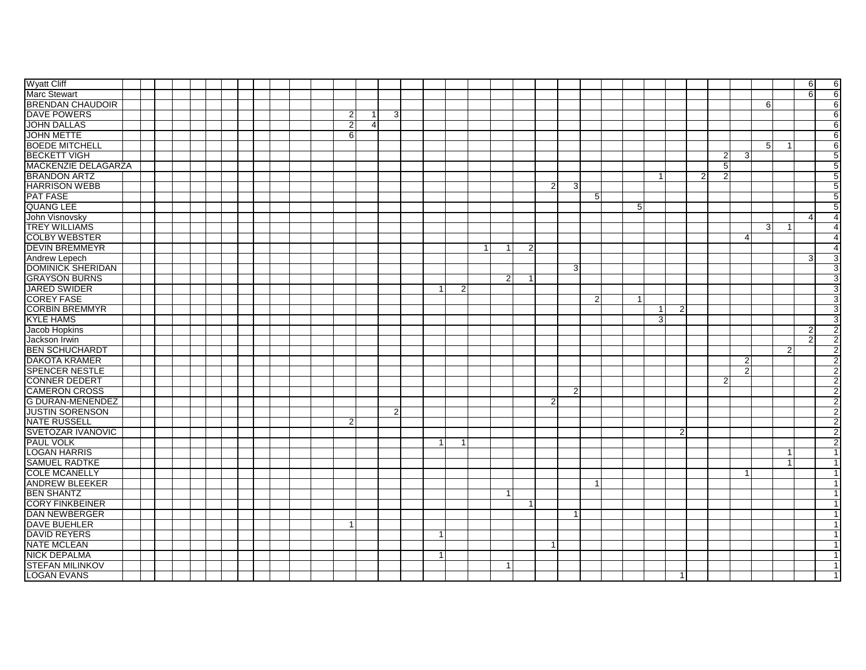| <b>Wyatt Cliff</b>         |  |  |                |                |                |              |              |                |                |                |                |                |    |    |                |                |                |                |                |                | 6                | 6              |
|----------------------------|--|--|----------------|----------------|----------------|--------------|--------------|----------------|----------------|----------------|----------------|----------------|----|----|----------------|----------------|----------------|----------------|----------------|----------------|------------------|----------------|
| <b>Marc Stewart</b>        |  |  |                |                |                |              |              |                |                |                |                |                |    |    |                |                |                |                |                |                | 6                | 6              |
| <b>BRENDAN CHAUDOIR</b>    |  |  |                |                |                |              |              |                |                |                |                |                |    |    |                |                |                |                | 6              |                |                  | 6              |
| <b>DAVE POWERS</b>         |  |  | $\overline{2}$ | $\overline{1}$ | $\overline{3}$ |              |              |                |                |                |                |                |    |    |                |                |                |                |                |                |                  | 6              |
| <b>JOHN DALLAS</b>         |  |  | $\overline{2}$ | $\overline{4}$ |                |              |              |                |                |                |                |                |    |    |                |                |                |                |                |                |                  | 6              |
| <b>JOHN METTE</b>          |  |  | 6              |                |                |              |              |                |                |                |                |                |    |    |                |                |                |                |                |                |                  | 6              |
| <b>BOEDE MITCHELL</b>      |  |  |                |                |                |              |              |                |                |                |                |                |    |    |                |                |                |                | $5^{\circ}$    | - 1            |                  | $6 \mid$       |
| <b>BECKETT VIGH</b>        |  |  |                |                |                |              |              |                |                |                |                |                |    |    |                |                | 2              | 3              |                |                |                  | 5              |
| <b>MACKENZIE DELAGARZA</b> |  |  |                |                |                |              |              |                |                |                |                |                |    |    |                |                | $\overline{5}$ |                |                |                |                  | 5              |
| <b>BRANDON ARTZ</b>        |  |  |                |                |                |              |              |                |                |                |                |                |    |    |                | $\overline{2}$ | $\overline{2}$ |                |                |                |                  | 5              |
| <b>HARRISON WEBB</b>       |  |  |                |                |                |              |              |                |                | $\overline{2}$ | 3              |                |    |    |                |                |                |                |                |                |                  | 5              |
| <b>PAT FASE</b>            |  |  |                |                |                |              |              |                |                |                |                | 5              |    |    |                |                |                |                |                |                |                  | 5              |
| <b>QUANG LEE</b>           |  |  |                |                |                |              |              |                |                |                |                |                | 5  |    |                |                |                |                |                |                |                  | 5              |
| John Visnovsky             |  |  |                |                |                |              |              |                |                |                |                |                |    |    |                |                |                |                |                |                | $\boldsymbol{A}$ |                |
| <b>TREY WILLIAMS</b>       |  |  |                |                |                |              |              |                |                |                |                |                |    |    |                |                |                |                | 3 <sup>1</sup> |                |                  |                |
| <b>COLBY WEBSTER</b>       |  |  |                |                |                |              |              |                |                |                |                |                |    |    |                |                |                | 4              |                |                |                  |                |
| <b>DEVIN BREMMEYR</b>      |  |  |                |                |                |              |              |                | $\overline{2}$ |                |                |                |    |    |                |                |                |                |                |                |                  |                |
| <b>Andrew Lepech</b>       |  |  |                |                |                |              |              |                |                |                |                |                |    |    |                |                |                |                |                |                | 3                | 3              |
| <b>DOMINICK SHERIDAN</b>   |  |  |                |                |                |              |              |                |                |                | 3 <sup>1</sup> |                |    |    |                |                |                |                |                |                |                  |                |
| <b>GRAYSON BURNS</b>       |  |  |                |                |                |              |              | $\overline{2}$ | -1             |                |                |                |    |    |                |                |                |                |                |                |                  | 3              |
| <b>JARED SWIDER</b>        |  |  |                |                |                | -1           | 2            |                |                |                |                |                |    |    |                |                |                |                |                |                |                  | 3              |
| <b>COREY FASE</b>          |  |  |                |                |                |              |              |                |                |                |                | $\overline{2}$ | -1 |    |                |                |                |                |                |                |                  |                |
| <b>CORBIN BREMMYR</b>      |  |  |                |                |                |              |              |                |                |                |                |                |    | -1 | $\overline{2}$ |                |                |                |                |                |                  | 3              |
| <b>KYLE HAMS</b>           |  |  |                |                |                |              |              |                |                |                |                |                |    | 3  |                |                |                |                |                |                |                  | 3              |
| Jacob Hopkins              |  |  |                |                |                |              |              |                |                |                |                |                |    |    |                |                |                |                |                |                | 2                | $\mathcal{P}$  |
| Jackson Irwin              |  |  |                |                |                |              |              |                |                |                |                |                |    |    |                |                |                |                |                |                | 2                |                |
| <b>BEN SCHUCHARDT</b>      |  |  |                |                |                |              |              |                |                |                |                |                |    |    |                |                |                |                |                | $\overline{2}$ |                  | 2              |
| <b>DAKOTA KRAMER</b>       |  |  |                |                |                |              |              |                |                |                |                |                |    |    |                |                |                | 2              |                |                |                  |                |
| <b>SPENCER NESTLE</b>      |  |  |                |                |                |              |              |                |                |                |                |                |    |    |                |                |                | $\overline{2}$ |                |                |                  | $\overline{2}$ |
| <b>CONNER DEDERT</b>       |  |  |                |                |                |              |              |                |                |                |                |                |    |    |                |                | $\overline{2}$ |                |                |                |                  | $\overline{2}$ |
| <b>CAMERON CROSS</b>       |  |  |                |                |                |              |              |                |                |                | $\overline{2}$ |                |    |    |                |                |                |                |                |                |                  | $\overline{2}$ |
| <b>G DURAN-MENENDEZ</b>    |  |  |                |                |                |              |              |                |                | $\overline{2}$ |                |                |    |    |                |                |                |                |                |                |                  |                |
| <b>JUSTIN SORENSON</b>     |  |  |                |                | $\overline{2}$ |              |              |                |                |                |                |                |    |    |                |                |                |                |                |                |                  | $\overline{2}$ |
| <b>NATE RUSSELL</b>        |  |  | $\overline{2}$ |                |                |              |              |                |                |                |                |                |    |    |                |                |                |                |                |                |                  |                |
| SVETOZAR IVANOVIC          |  |  |                |                |                |              |              |                |                |                |                |                |    |    | $\overline{2}$ |                |                |                |                |                |                  | $\overline{2}$ |
| <b>PAUL VOLK</b>           |  |  |                |                |                | $\mathbf{1}$ | $\mathbf{1}$ |                |                |                |                |                |    |    |                |                |                |                |                |                |                  | $\overline{2}$ |
| <b>LOGAN HARRIS</b>        |  |  |                |                |                |              |              |                |                |                |                |                |    |    |                |                |                |                |                | -1             |                  |                |
| <b>SAMUEL RADTKE</b>       |  |  |                |                |                |              |              |                |                |                |                |                |    |    |                |                |                |                |                | $\overline{1}$ |                  |                |
| <b>COLE MCANELLY</b>       |  |  |                |                |                |              |              |                |                |                |                |                |    |    |                |                |                | -1             |                |                |                  |                |
| <b>ANDREW BLEEKER</b>      |  |  |                |                |                |              |              |                |                |                |                | -1             |    |    |                |                |                |                |                |                |                  |                |
| <b>BEN SHANTZ</b>          |  |  |                |                |                |              |              | 1              |                |                |                |                |    |    |                |                |                |                |                |                |                  |                |
| <b>CORY FINKBEINER</b>     |  |  |                |                |                |              |              |                | $\mathbf{1}$   |                |                |                |    |    |                |                |                |                |                |                |                  |                |
| <b>DAN NEWBERGER</b>       |  |  |                |                |                |              |              |                |                |                | 1              |                |    |    |                |                |                |                |                |                |                  |                |
| <b>DAVE BUEHLER</b>        |  |  |                |                |                |              |              |                |                |                |                |                |    |    |                |                |                |                |                |                |                  |                |
| <b>DAVID REYERS</b>        |  |  |                |                |                | $\mathbf{1}$ |              |                |                |                |                |                |    |    |                |                |                |                |                |                |                  |                |
| <b>NATE MCLEAN</b>         |  |  |                |                |                |              |              |                |                | 1              |                |                |    |    |                |                |                |                |                |                |                  |                |
| <b>NICK DEPALMA</b>        |  |  |                |                |                | $\mathbf{1}$ |              |                |                |                |                |                |    |    |                |                |                |                |                |                |                  |                |
| <b>STEFAN MILINKOV</b>     |  |  |                |                |                |              |              | $\overline{1}$ |                |                |                |                |    |    |                |                |                |                |                |                |                  |                |
| <b>LOGAN EVANS</b>         |  |  |                |                |                |              |              |                |                |                |                |                |    |    |                |                |                |                |                |                |                  |                |
|                            |  |  |                |                |                |              |              |                |                |                |                |                |    |    |                |                |                |                |                |                |                  |                |